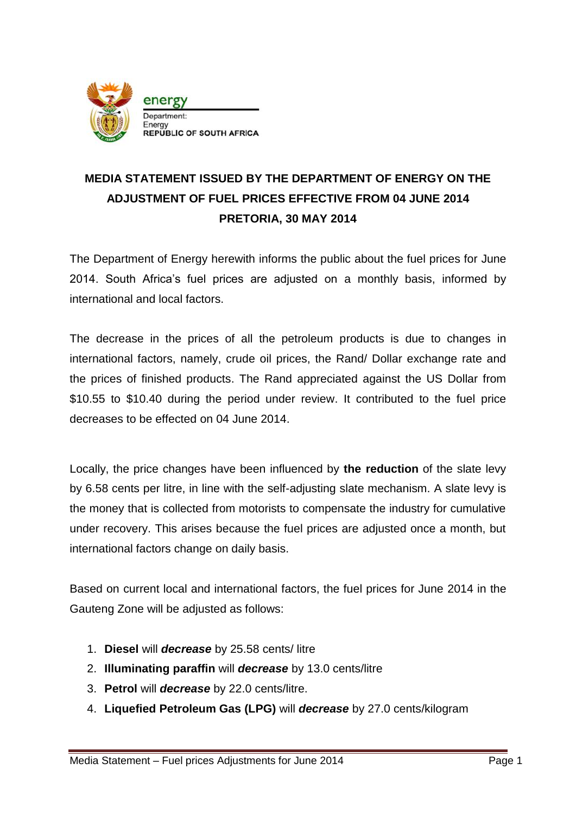

## **MEDIA STATEMENT ISSUED BY THE DEPARTMENT OF ENERGY ON THE ADJUSTMENT OF FUEL PRICES EFFECTIVE FROM 04 JUNE 2014 PRETORIA, 30 MAY 2014**

The Department of Energy herewith informs the public about the fuel prices for June 2014. South Africa's fuel prices are adjusted on a monthly basis, informed by international and local factors.

The decrease in the prices of all the petroleum products is due to changes in international factors, namely, crude oil prices, the Rand/ Dollar exchange rate and the prices of finished products. The Rand appreciated against the US Dollar from \$10.55 to \$10.40 during the period under review. It contributed to the fuel price decreases to be effected on 04 June 2014.

Locally, the price changes have been influenced by **the reduction** of the slate levy by 6.58 cents per litre, in line with the self-adjusting slate mechanism. A slate levy is the money that is collected from motorists to compensate the industry for cumulative under recovery. This arises because the fuel prices are adjusted once a month, but international factors change on daily basis.

Based on current local and international factors, the fuel prices for June 2014 in the Gauteng Zone will be adjusted as follows:

- 1. **Diesel** will *decrease* by 25.58 cents/ litre
- 2. **Illuminating paraffin** will *decrease* by 13.0 cents/litre
- 3. **Petrol** will *decrease* by 22.0 cents/litre.
- 4. **Liquefied Petroleum Gas (LPG)** will *decrease* by 27.0 cents/kilogram